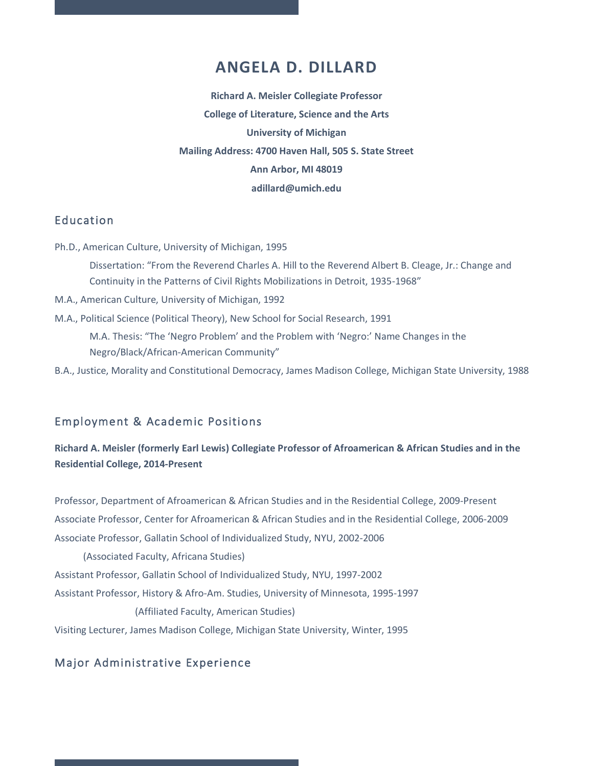# **ANGELA D. DILLARD**

**Richard A. Meisler Collegiate Professor College of Literature, Science and the Arts University of Michigan Mailing Address: 4700 Haven Hall, 505 S. State Street Ann Arbor, MI 48019 adillard@umich.edu**

### Education

Ph.D., American Culture, University of Michigan, 1995

Dissertation: "From the Reverend Charles A. Hill to the Reverend Albert B. Cleage, Jr.: Change and Continuity in the Patterns of Civil Rights Mobilizations in Detroit, 1935-1968"

- M.A., American Culture, University of Michigan, 1992
- M.A., Political Science (Political Theory), New School for Social Research, 1991

M.A. Thesis: "The 'Negro Problem' and the Problem with 'Negro:' Name Changes in the Negro/Black/African-American Community"

B.A., Justice, Morality and Constitutional Democracy, James Madison College, Michigan State University, 1988

### Employment & Academic Positions

### **Richard A. Meisler (formerly Earl Lewis) Collegiate Professor of Afroamerican & African Studies and in the Residential College, 2014-Present**

Professor, Department of Afroamerican & African Studies and in the Residential College, 2009-Present Associate Professor, Center for Afroamerican & African Studies and in the Residential College, 2006-2009 Associate Professor, Gallatin School of Individualized Study, NYU, 2002-2006

 (Associated Faculty, Africana Studies) Assistant Professor, Gallatin School of Individualized Study, NYU, 1997-2002 Assistant Professor, History & Afro-Am. Studies, University of Minnesota, 1995-1997 (Affiliated Faculty, American Studies)

Visiting Lecturer, James Madison College, Michigan State University, Winter, 1995

# Major Administrative Experience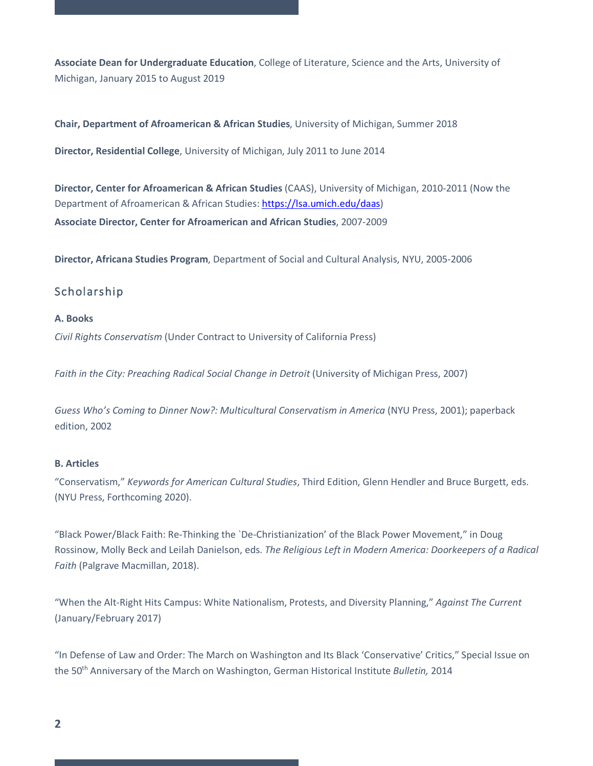**Associate Dean for Undergraduate Education**, College of Literature, Science and the Arts, University of Michigan, January 2015 to August 2019

**Chair, Department of Afroamerican & African Studies**, University of Michigan, Summer 2018

**Director, Residential College**, University of Michigan, July 2011 to June 2014

**Director, Center for Afroamerican & African Studies** (CAAS), University of Michigan, 2010-2011 (Now the Department of Afroamerican & African Studies: https://lsa.umich.edu/daas) **Associate Director, Center for Afroamerican and African Studies**, 2007-2009

**Director, Africana Studies Program**, Department of Social and Cultural Analysis, NYU, 2005-2006

# Scholarship

#### **A. Books**

*Civil Rights Conservatism* (Under Contract to University of California Press)

*Faith in the City: Preaching Radical Social Change in Detroit* (University of Michigan Press, 2007)

*Guess Who's Coming to Dinner Now?: Multicultural Conservatism in America* (NYU Press, 2001); paperback edition, 2002

#### **B. Articles**

"Conservatism," *Keywords for American Cultural Studies*, Third Edition, Glenn Hendler and Bruce Burgett, eds. (NYU Press, Forthcoming 2020).

"Black Power/Black Faith: Re-Thinking the `De-Christianization' of the Black Power Movement," in Doug Rossinow, Molly Beck and Leilah Danielson, eds. *The Religious Left in Modern America: Doorkeepers of a Radical Faith* (Palgrave Macmillan, 2018).

"When the Alt-Right Hits Campus: White Nationalism, Protests, and Diversity Planning," *Against The Current* (January/February 2017)

"In Defense of Law and Order: The March on Washington and Its Black 'Conservative' Critics," Special Issue on the 50th Anniversary of the March on Washington, German Historical Institute *Bulletin,* 2014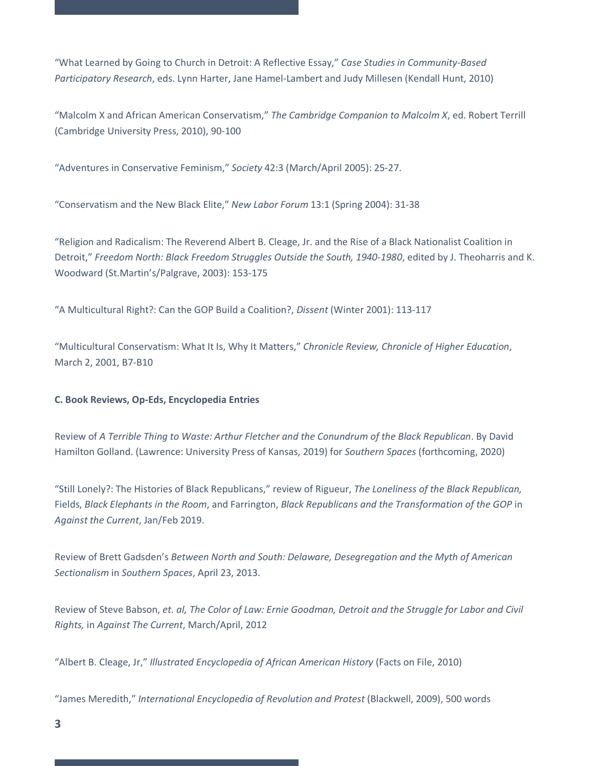"What Learned by Going to Church in Detroit: A Reflective Essay," *Case Studies in Community-Based Participatory Research*, eds. Lynn Harter, Jane Hamel-Lambert and Judy Millesen (Kendall Hunt, 2010)

"Malcolm X and African American Conservatism," *The Cambridge Companion to Malcolm X*, ed. Robert Terrill (Cambridge University Press, 2010), 90-100

"Adventures in Conservative Feminism," *Society* 42:3 (March/April 2005): 25-27.

"Conservatism and the New Black Elite," *New Labor Forum* 13:1 (Spring 2004): 31-38

"Religion and Radicalism: The Reverend Albert B. Cleage, Jr. and the Rise of a Black Nationalist Coalition in Detroit," *Freedom North: Black Freedom Struggles Outside the South, 1940-1980*, edited by J. Theoharris and K. Woodward (St.Martin's/Palgrave, 2003): 153-175

"A Multicultural Right?: Can the GOP Build a Coalition?, *Dissent* (Winter 2001): 113-117

"Multicultural Conservatism: What It Is, Why It Matters," *Chronicle Review, Chronicle of Higher Education*, March 2, 2001, B7-B10

#### **C. Book Reviews, Op-Eds, Encyclopedia Entries**

Review of *A Terrible Thing to Waste: Arthur Fletcher and the Conundrum of the Black Republican*. By David Hamilton Golland. (Lawrence: University Press of Kansas, 2019) for *Southern Spaces* (forthcoming, 2020)

"Still Lonely?: The Histories of Black Republicans," review of Rigueur, *The Loneliness of the Black Republican,*  Fields, *Black Elephants in the Room*, and Farrington, *Black Republicans and the Transformation of the GOP* in *Against the Current*, Jan/Feb 2019.

Review of Brett Gadsden's *Between North and South: Delaware, Desegregation and the Myth of American Sectionalism* in *Southern Spaces*, April 23, 2013.

Review of Steve Babson, *et. al, The Color of Law: Ernie Goodman, Detroit and the Struggle for Labor and Civil Rights,* in *Against The Current*, March/April, 2012

"Albert B. Cleage, Jr," *Illustrated Encyclopedia of African American History* (Facts on File, 2010)

"James Meredith," *International Encyclopedia of Revolution and Protest* (Blackwell, 2009), 500 words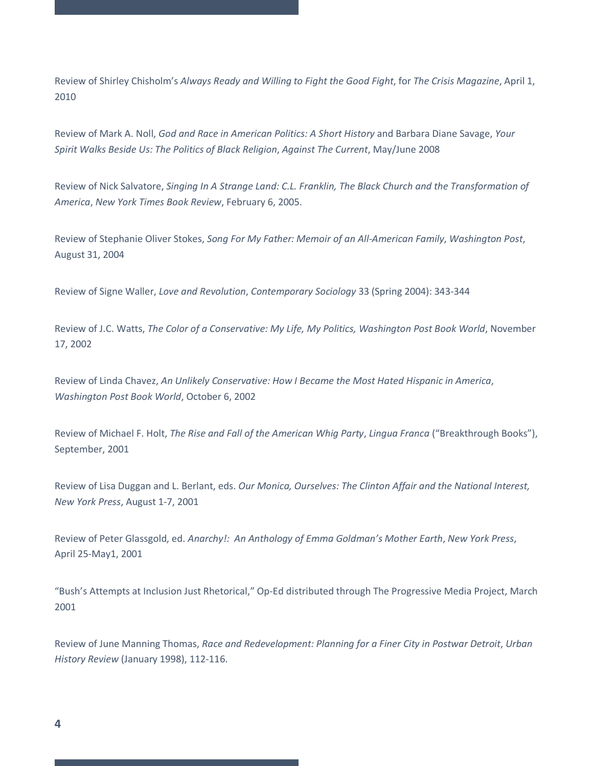Review of Shirley Chisholm's *Always Ready and Willing to Fight the Good Fight*, for *The Crisis Magazine*, April 1, 2010

Review of Mark A. Noll, *God and Race in American Politics: A Short History* and Barbara Diane Savage, *Your Spirit Walks Beside Us: The Politics of Black Religion*, *Against The Current*, May/June 2008

Review of Nick Salvatore, *Singing In A Strange Land: C.L. Franklin, The Black Church and the Transformation of America*, *New York Times Book Review*, February 6, 2005.

Review of Stephanie Oliver Stokes, *Song For My Father: Memoir of an All-American Family*, *Washington Post*, August 31, 2004

Review of Signe Waller, *Love and Revolution*, *Contemporary Sociology* 33 (Spring 2004): 343-344

Review of J.C. Watts, *The Color of a Conservative: My Life, My Politics, Washington Post Book World*, November 17, 2002

Review of Linda Chavez, *An Unlikely Conservative: How I Became the Most Hated Hispanic in America*, *Washington Post Book World*, October 6, 2002

Review of Michael F. Holt, *The Rise and Fall of the American Whig Party*, *Lingua Franca* ("Breakthrough Books"), September, 2001

Review of Lisa Duggan and L. Berlant, eds. *Our Monica, Ourselves: The Clinton Affair and the National Interest, New York Press*, August 1-7, 2001

Review of Peter Glassgold, ed. *Anarchy!: An Anthology of Emma Goldman's Mother Earth*, *New York Press*, April 25-May1, 2001

"Bush's Attempts at Inclusion Just Rhetorical," Op-Ed distributed through The Progressive Media Project, March 2001

Review of June Manning Thomas, *Race and Redevelopment: Planning for a Finer City in Postwar Detroit*, *Urban History Review* (January 1998), 112-116.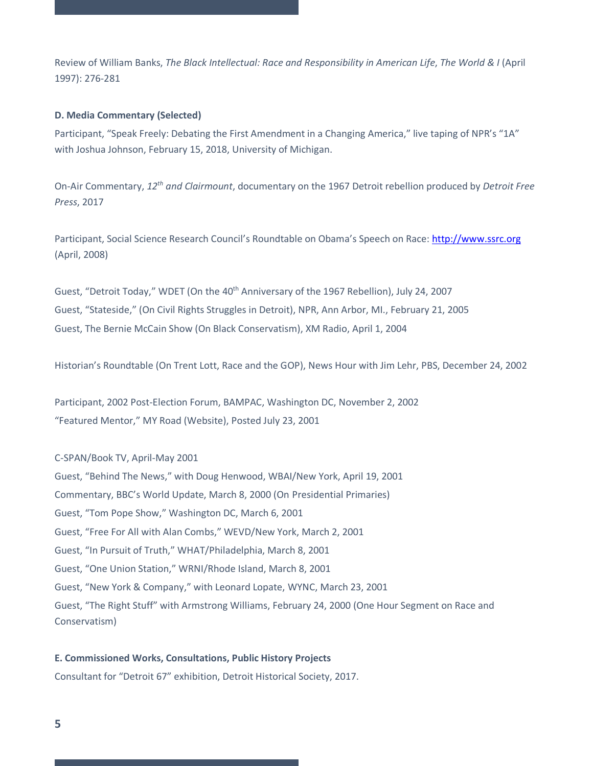Review of William Banks, *The Black Intellectual: Race and Responsibility in American Life*, *The World & I* (April 1997): 276-281

#### **D. Media Commentary (Selected)**

Participant, "Speak Freely: Debating the First Amendment in a Changing America," live taping of NPR's "1A" with Joshua Johnson, February 15, 2018, University of Michigan.

On-Air Commentary, *12th and Clairmount*, documentary on the 1967 Detroit rebellion produced by *Detroit Free Press*, 2017

Participant, Social Science Research Council's Roundtable on Obama's Speech on Race: http://www.ssrc.org (April, 2008)

Guest, "Detroit Today," WDET (On the 40<sup>th</sup> Anniversary of the 1967 Rebellion), July 24, 2007 Guest, "Stateside," (On Civil Rights Struggles in Detroit), NPR, Ann Arbor, MI., February 21, 2005 Guest, The Bernie McCain Show (On Black Conservatism), XM Radio, April 1, 2004

Historian's Roundtable (On Trent Lott, Race and the GOP), News Hour with Jim Lehr, PBS, December 24, 2002

Participant, 2002 Post-Election Forum, BAMPAC, Washington DC, November 2, 2002 "Featured Mentor," MY Road (Website), Posted July 23, 2001

### C-SPAN/Book TV, April-May 2001

Guest, "Behind The News," with Doug Henwood, WBAI/New York, April 19, 2001 Commentary, BBC's World Update, March 8, 2000 (On Presidential Primaries) Guest, "Tom Pope Show," Washington DC, March 6, 2001 Guest, "Free For All with Alan Combs," WEVD/New York, March 2, 2001 Guest, "In Pursuit of Truth," WHAT/Philadelphia, March 8, 2001 Guest, "One Union Station," WRNI/Rhode Island, March 8, 2001 Guest, "New York & Company," with Leonard Lopate, WYNC, March 23, 2001 Guest, "The Right Stuff" with Armstrong Williams, February 24, 2000 (One Hour Segment on Race and Conservatism)

#### **E. Commissioned Works, Consultations, Public History Projects**

Consultant for "Detroit 67" exhibition, Detroit Historical Society, 2017.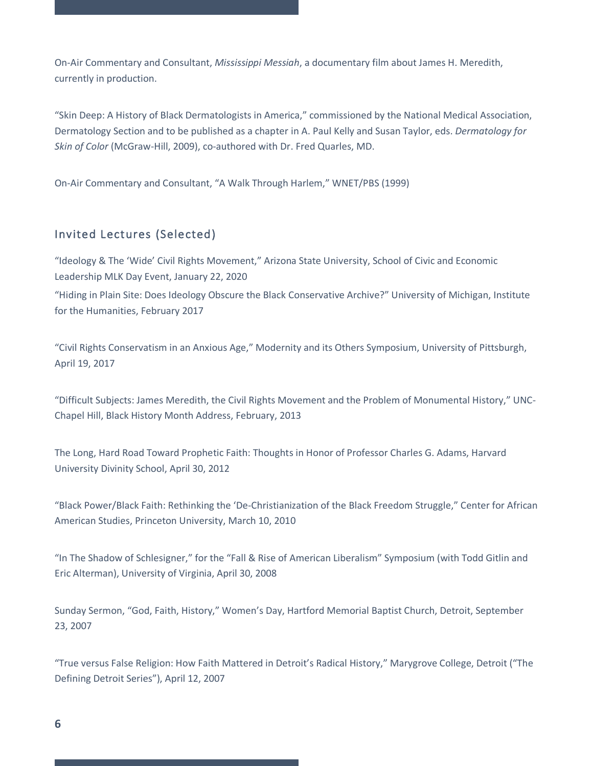On-Air Commentary and Consultant, *Mississippi Messiah*, a documentary film about James H. Meredith, currently in production.

"Skin Deep: A History of Black Dermatologists in America," commissioned by the National Medical Association, Dermatology Section and to be published as a chapter in A. Paul Kelly and Susan Taylor, eds. *Dermatology for Skin of Color* (McGraw-Hill, 2009), co-authored with Dr. Fred Quarles, MD.

On-Air Commentary and Consultant, "A Walk Through Harlem," WNET/PBS (1999)

# Invited Lectures (Selected)

"Ideology & The 'Wide' Civil Rights Movement," Arizona State University, School of Civic and Economic Leadership MLK Day Event, January 22, 2020

"Hiding in Plain Site: Does Ideology Obscure the Black Conservative Archive?" University of Michigan, Institute for the Humanities, February 2017

"Civil Rights Conservatism in an Anxious Age," Modernity and its Others Symposium, University of Pittsburgh, April 19, 2017

"Difficult Subjects: James Meredith, the Civil Rights Movement and the Problem of Monumental History," UNC-Chapel Hill, Black History Month Address, February, 2013

The Long, Hard Road Toward Prophetic Faith: Thoughts in Honor of Professor Charles G. Adams, Harvard University Divinity School, April 30, 2012

"Black Power/Black Faith: Rethinking the 'De-Christianization of the Black Freedom Struggle," Center for African American Studies, Princeton University, March 10, 2010

"In The Shadow of Schlesigner," for the "Fall & Rise of American Liberalism" Symposium (with Todd Gitlin and Eric Alterman), University of Virginia, April 30, 2008

Sunday Sermon, "God, Faith, History," Women's Day, Hartford Memorial Baptist Church, Detroit, September 23, 2007

"True versus False Religion: How Faith Mattered in Detroit's Radical History," Marygrove College, Detroit ("The Defining Detroit Series"), April 12, 2007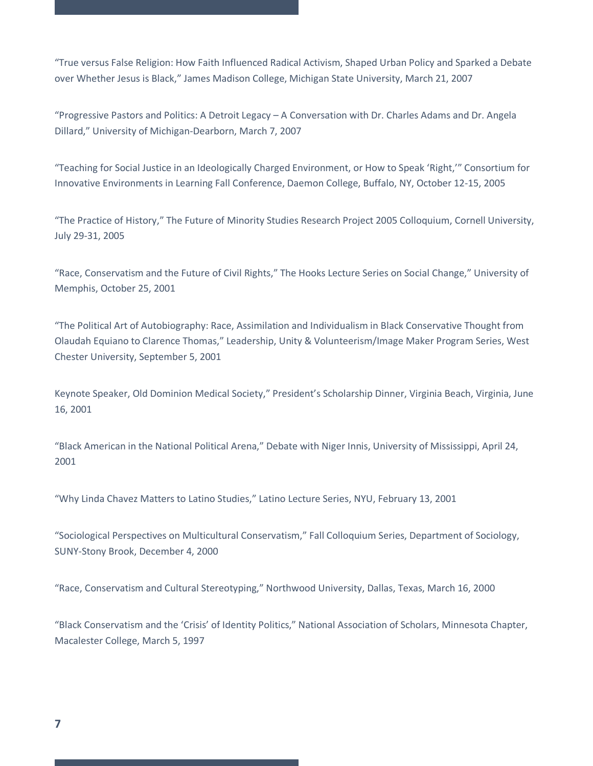"True versus False Religion: How Faith Influenced Radical Activism, Shaped Urban Policy and Sparked a Debate over Whether Jesus is Black," James Madison College, Michigan State University, March 21, 2007

"Progressive Pastors and Politics: A Detroit Legacy – A Conversation with Dr. Charles Adams and Dr. Angela Dillard," University of Michigan-Dearborn, March 7, 2007

"Teaching for Social Justice in an Ideologically Charged Environment, or How to Speak 'Right,'" Consortium for Innovative Environments in Learning Fall Conference, Daemon College, Buffalo, NY, October 12-15, 2005

"The Practice of History," The Future of Minority Studies Research Project 2005 Colloquium, Cornell University, July 29-31, 2005

"Race, Conservatism and the Future of Civil Rights," The Hooks Lecture Series on Social Change," University of Memphis, October 25, 2001

"The Political Art of Autobiography: Race, Assimilation and Individualism in Black Conservative Thought from Olaudah Equiano to Clarence Thomas," Leadership, Unity & Volunteerism/Image Maker Program Series, West Chester University, September 5, 2001

Keynote Speaker, Old Dominion Medical Society," President's Scholarship Dinner, Virginia Beach, Virginia, June 16, 2001

"Black American in the National Political Arena," Debate with Niger Innis, University of Mississippi, April 24, 2001

"Why Linda Chavez Matters to Latino Studies," Latino Lecture Series, NYU, February 13, 2001

"Sociological Perspectives on Multicultural Conservatism," Fall Colloquium Series, Department of Sociology, SUNY-Stony Brook, December 4, 2000

"Race, Conservatism and Cultural Stereotyping," Northwood University, Dallas, Texas, March 16, 2000

"Black Conservatism and the 'Crisis' of Identity Politics," National Association of Scholars, Minnesota Chapter, Macalester College, March 5, 1997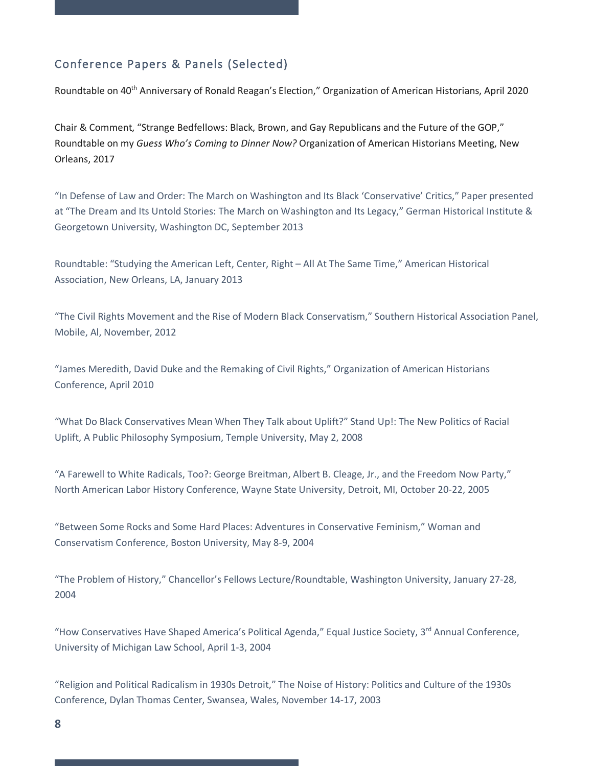# Conference Papers & Panels (Selected)

Roundtable on 40<sup>th</sup> Anniversary of Ronald Reagan's Election," Organization of American Historians, April 2020

Chair & Comment, "Strange Bedfellows: Black, Brown, and Gay Republicans and the Future of the GOP," Roundtable on my *Guess Who's Coming to Dinner Now?* Organization of American Historians Meeting, New Orleans, 2017

"In Defense of Law and Order: The March on Washington and Its Black 'Conservative' Critics," Paper presented at "The Dream and Its Untold Stories: The March on Washington and Its Legacy," German Historical Institute & Georgetown University, Washington DC, September 2013

Roundtable: "Studying the American Left, Center, Right – All At The Same Time," American Historical Association, New Orleans, LA, January 2013

"The Civil Rights Movement and the Rise of Modern Black Conservatism," Southern Historical Association Panel, Mobile, Al, November, 2012

"James Meredith, David Duke and the Remaking of Civil Rights," Organization of American Historians Conference, April 2010

"What Do Black Conservatives Mean When They Talk about Uplift?" Stand Up!: The New Politics of Racial Uplift, A Public Philosophy Symposium, Temple University, May 2, 2008

"A Farewell to White Radicals, Too?: George Breitman, Albert B. Cleage, Jr., and the Freedom Now Party," North American Labor History Conference, Wayne State University, Detroit, MI, October 20-22, 2005

"Between Some Rocks and Some Hard Places: Adventures in Conservative Feminism," Woman and Conservatism Conference, Boston University, May 8-9, 2004

"The Problem of History," Chancellor's Fellows Lecture/Roundtable, Washington University, January 27-28, 2004

"How Conservatives Have Shaped America's Political Agenda," Equal Justice Society, 3<sup>rd</sup> Annual Conference, University of Michigan Law School, April 1-3, 2004

"Religion and Political Radicalism in 1930s Detroit," The Noise of History: Politics and Culture of the 1930s Conference, Dylan Thomas Center, Swansea, Wales, November 14-17, 2003

**8**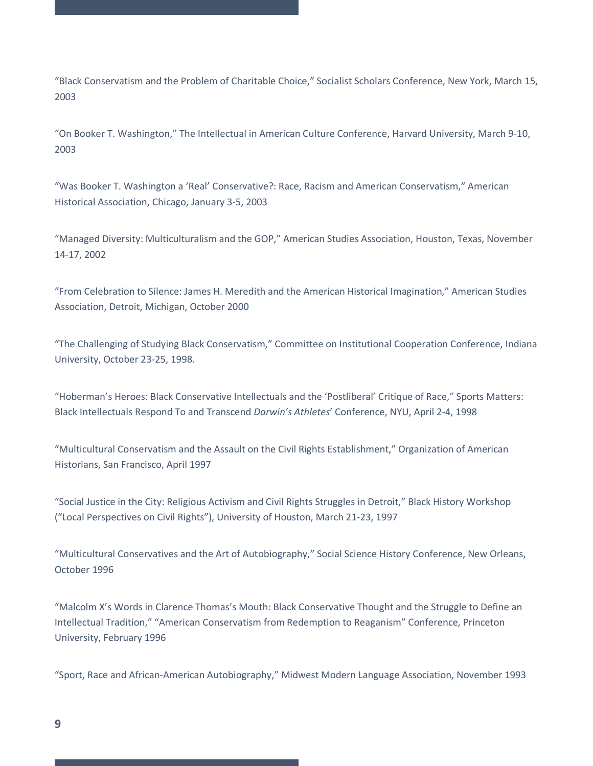"Black Conservatism and the Problem of Charitable Choice," Socialist Scholars Conference, New York, March 15, 2003

"On Booker T. Washington," The Intellectual in American Culture Conference, Harvard University, March 9-10, 2003

"Was Booker T. Washington a 'Real' Conservative?: Race, Racism and American Conservatism," American Historical Association, Chicago, January 3-5, 2003

"Managed Diversity: Multiculturalism and the GOP," American Studies Association, Houston, Texas, November 14-17, 2002

"From Celebration to Silence: James H. Meredith and the American Historical Imagination," American Studies Association, Detroit, Michigan, October 2000

"The Challenging of Studying Black Conservatism," Committee on Institutional Cooperation Conference, Indiana University, October 23-25, 1998.

"Hoberman's Heroes: Black Conservative Intellectuals and the 'Postliberal' Critique of Race," Sports Matters: Black Intellectuals Respond To and Transcend *Darwin's Athletes*' Conference, NYU, April 2-4, 1998

"Multicultural Conservatism and the Assault on the Civil Rights Establishment," Organization of American Historians, San Francisco, April 1997

"Social Justice in the City: Religious Activism and Civil Rights Struggles in Detroit," Black History Workshop ("Local Perspectives on Civil Rights"), University of Houston, March 21-23, 1997

"Multicultural Conservatives and the Art of Autobiography," Social Science History Conference, New Orleans, October 1996

"Malcolm X's Words in Clarence Thomas's Mouth: Black Conservative Thought and the Struggle to Define an Intellectual Tradition," "American Conservatism from Redemption to Reaganism" Conference, Princeton University, February 1996

"Sport, Race and African-American Autobiography," Midwest Modern Language Association, November 1993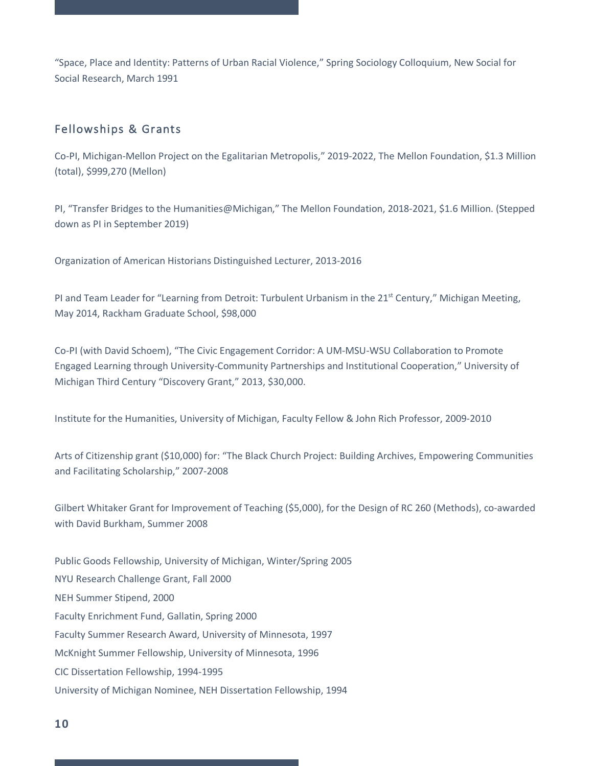"Space, Place and Identity: Patterns of Urban Racial Violence," Spring Sociology Colloquium, New Social for Social Research, March 1991

### Fellowships & Grants

Co-PI, Michigan-Mellon Project on the Egalitarian Metropolis," 2019-2022, The Mellon Foundation, \$1.3 Million (total), \$999,270 (Mellon)

PI, "Transfer Bridges to the Humanities@Michigan," The Mellon Foundation, 2018-2021, \$1.6 Million. (Stepped down as PI in September 2019)

Organization of American Historians Distinguished Lecturer, 2013-2016

PI and Team Leader for "Learning from Detroit: Turbulent Urbanism in the 21<sup>st</sup> Century," Michigan Meeting, May 2014, Rackham Graduate School, \$98,000

Co-PI (with David Schoem), "The Civic Engagement Corridor: A UM-MSU-WSU Collaboration to Promote Engaged Learning through University-Community Partnerships and Institutional Cooperation," University of Michigan Third Century "Discovery Grant," 2013, \$30,000.

Institute for the Humanities, University of Michigan, Faculty Fellow & John Rich Professor, 2009-2010

Arts of Citizenship grant (\$10,000) for: "The Black Church Project: Building Archives, Empowering Communities and Facilitating Scholarship," 2007-2008

Gilbert Whitaker Grant for Improvement of Teaching (\$5,000), for the Design of RC 260 (Methods), co-awarded with David Burkham, Summer 2008

Public Goods Fellowship, University of Michigan, Winter/Spring 2005 NYU Research Challenge Grant, Fall 2000 NEH Summer Stipend, 2000 Faculty Enrichment Fund, Gallatin, Spring 2000 Faculty Summer Research Award, University of Minnesota, 1997 McKnight Summer Fellowship, University of Minnesota, 1996 CIC Dissertation Fellowship, 1994-1995 University of Michigan Nominee, NEH Dissertation Fellowship, 1994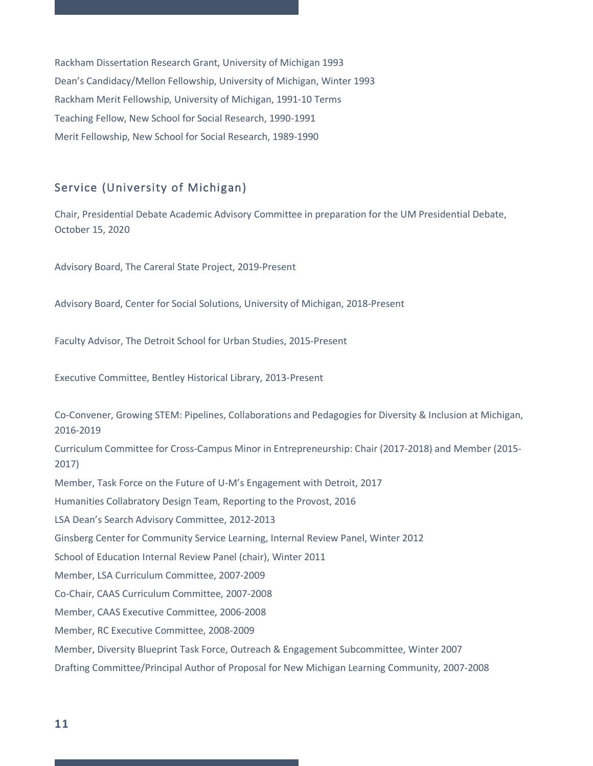Rackham Dissertation Research Grant, University of Michigan 1993 Dean's Candidacy/Mellon Fellowship, University of Michigan, Winter 1993 Rackham Merit Fellowship, University of Michigan, 1991-10 Terms Teaching Fellow, New School for Social Research, 1990-1991 Merit Fellowship, New School for Social Research, 1989-1990

# Service (University of Michigan)

Chair, Presidential Debate Academic Advisory Committee in preparation for the UM Presidential Debate, October 15, 2020

Advisory Board, The Careral State Project, 2019-Present

Advisory Board, Center for Social Solutions, University of Michigan, 2018-Present

Faculty Advisor, The Detroit School for Urban Studies, 2015-Present

Executive Committee, Bentley Historical Library, 2013-Present

Co-Convener, Growing STEM: Pipelines, Collaborations and Pedagogies for Diversity & Inclusion at Michigan, 2016-2019

Curriculum Committee for Cross-Campus Minor in Entrepreneurship: Chair (2017-2018) and Member (2015- 2017)

Member, Task Force on the Future of U-M's Engagement with Detroit, 2017

Humanities Collabratory Design Team, Reporting to the Provost, 2016

LSA Dean's Search Advisory Committee, 2012-2013

Ginsberg Center for Community Service Learning, Internal Review Panel, Winter 2012

School of Education Internal Review Panel (chair), Winter 2011

Member, LSA Curriculum Committee, 2007-2009

Co-Chair, CAAS Curriculum Committee, 2007-2008

Member, CAAS Executive Committee, 2006-2008

Member, RC Executive Committee, 2008-2009

Member, Diversity Blueprint Task Force, Outreach & Engagement Subcommittee, Winter 2007

Drafting Committee/Principal Author of Proposal for New Michigan Learning Community, 2007-2008